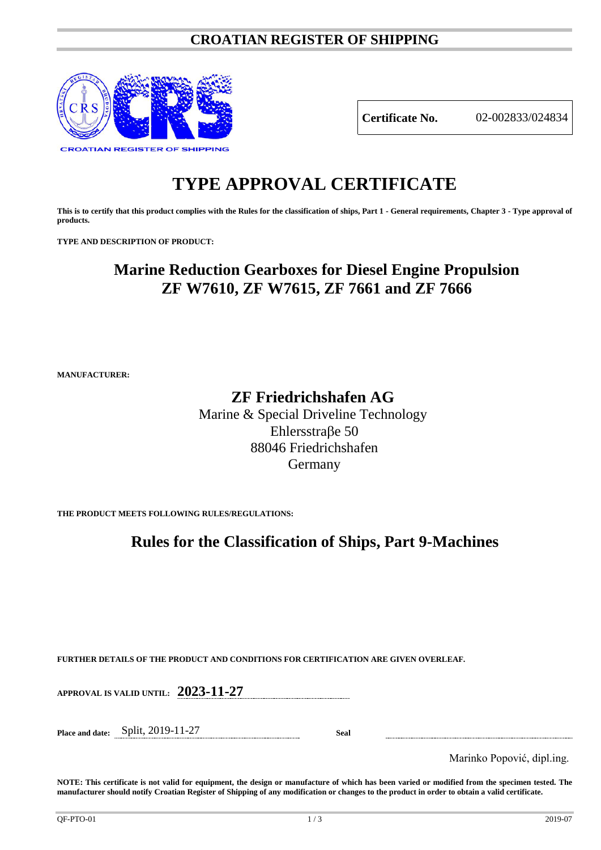### **CROATIAN REGISTER OF SHIPPING**



**Certificate No.** 02-002833/024834

# **TYPE APPROVAL CERTIFICATE**

**This is to certify that this product complies with the Rules for the classification of ships, Part 1 - General requirements, Chapter 3 - Type approval of products.**

**TYPE AND DESCRIPTION OF PRODUCT:** 

## **Marine Reduction Gearboxes for Diesel Engine Propulsion ZF W7610, ZF W7615, ZF 7661 and ZF 7666**

**MANUFACTURER:**

### **ZF Friedrichshafen AG**

Marine & Special Driveline Technology Ehlersstraβe 50 88046 Friedrichshafen Germany

**THE PRODUCT MEETS FOLLOWING RULES/REGULATIONS:**

### **Rules for the Classification of Ships, Part 9-Machines**

**FURTHER DETAILS OF THE PRODUCT AND CONDITIONS FOR CERTIFICATION ARE GIVEN OVERLEAF.**

**APPROVAL IS VALID UNTIL: 2023-11-27**

**Place and date:** Split, 2019-11-27 **Seal**

Marinko Popović, dipl.ing.

**NOTE: This certificate is not valid for equipment, the design or manufacture of which has been varied or modified from the specimen tested. The manufacturer should notify Croatian Register of Shipping of any modification or changes to the product in order to obtain a valid certificate.**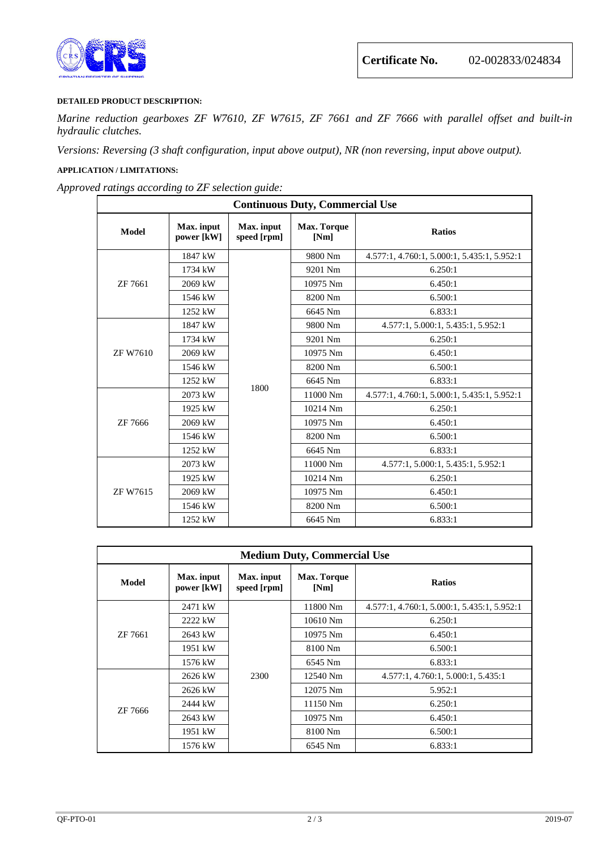



#### **DETAILED PRODUCT DESCRIPTION:**

*Marine reduction gearboxes ZF W7610, ZF W7615, ZF 7661 and ZF 7666 with parallel offset and built-in hydraulic clutches.*

*Versions: Reversing (3 shaft configuration, input above output), NR (non reversing, input above output).*

#### **APPLICATION / LIMITATIONS:**

*Approved ratings according to ZF selection guide:*

| <b>Continuous Duty, Commercial Use</b> |                          |                           |                     |                                             |  |  |  |
|----------------------------------------|--------------------------|---------------------------|---------------------|---------------------------------------------|--|--|--|
| <b>Model</b>                           | Max. input<br>power [kW] | Max. input<br>speed [rpm] | Max. Torque<br>[Nm] | <b>Ratios</b>                               |  |  |  |
| ZF 7661                                | 1847 kW                  |                           | 9800 Nm             | 4.577:1, 4.760:1, 5.000:1, 5.435:1, 5.952:1 |  |  |  |
|                                        | 1734 kW                  |                           | 9201 Nm             | 6.250:1                                     |  |  |  |
|                                        | 2069 kW                  |                           | 10975 Nm            | 6.450:1                                     |  |  |  |
|                                        | 1546 kW                  |                           | 8200 Nm             | 6.500:1                                     |  |  |  |
|                                        | 1252 kW                  |                           | 6645 Nm             | 6.833:1                                     |  |  |  |
| <b>ZF W7610</b>                        | 1847 kW                  | 1800                      | 9800 Nm             | 4.577:1, 5.000:1, 5.435:1, 5.952:1          |  |  |  |
|                                        | 1734 kW                  |                           | 9201 Nm             | 6.250:1                                     |  |  |  |
|                                        | 2069 kW                  |                           | 10975 Nm            | 6.450:1                                     |  |  |  |
|                                        | 1546 kW                  |                           | 8200 Nm             | 6.500:1                                     |  |  |  |
|                                        | 1252 kW                  |                           | 6645 Nm             | 6.833:1                                     |  |  |  |
| ZF 7666                                | 2073 kW                  |                           | 11000 Nm            | 4.577:1, 4.760:1, 5.000:1, 5.435:1, 5.952:1 |  |  |  |
|                                        | 1925 kW                  |                           | 10214 Nm            | 6.250:1                                     |  |  |  |
|                                        | 2069 kW                  |                           | 10975 Nm            | 6.450:1                                     |  |  |  |
|                                        | 1546 kW                  |                           | 8200 Nm             | 6.500:1                                     |  |  |  |
|                                        | 1252 kW                  |                           | 6645 Nm             | 6.833:1                                     |  |  |  |
| <b>ZF W7615</b>                        | 2073 kW                  |                           | 11000 Nm            | 4.577:1, 5.000:1, 5.435:1, 5.952:1          |  |  |  |
|                                        | 1925 kW                  |                           | 10214 Nm            | 6.250:1                                     |  |  |  |
|                                        | 2069 kW                  |                           | 10975 Nm            | 6.450:1                                     |  |  |  |
|                                        | 1546 kW                  |                           | 8200 Nm             | 6.500:1                                     |  |  |  |
|                                        | 1252 kW                  |                           | 6645 Nm             | 6.833:1                                     |  |  |  |

| <b>Medium Duty, Commercial Use</b> |                          |                           |                            |                                             |  |  |  |  |
|------------------------------------|--------------------------|---------------------------|----------------------------|---------------------------------------------|--|--|--|--|
| Model                              | Max. input<br>power [kW] | Max. input<br>speed [rpm] | <b>Max. Torque</b><br>[Nm] | <b>Ratios</b>                               |  |  |  |  |
| ZF 7661                            | 2471 kW                  | 2300                      | 11800 Nm                   | 4.577:1, 4.760:1, 5.000:1, 5.435:1, 5.952:1 |  |  |  |  |
|                                    | 2222 kW                  |                           | $10610$ Nm                 | 6.250:1                                     |  |  |  |  |
|                                    | 2643 kW                  |                           | 10975 Nm                   | 6.450:1                                     |  |  |  |  |
|                                    | 1951 kW                  |                           | 8100 Nm                    | 6.500:1                                     |  |  |  |  |
|                                    | 1576 kW                  |                           | 6545 Nm                    | 6.833:1                                     |  |  |  |  |
| ZF 7666                            | 2626 kW                  |                           | 12540 Nm                   | 4.577:1, 4.760:1, 5.000:1, 5.435:1          |  |  |  |  |
|                                    | 2626 kW                  |                           | 12075 Nm                   | 5.952:1                                     |  |  |  |  |
|                                    | 2444 kW                  |                           | 11150 Nm                   | 6.250:1                                     |  |  |  |  |
|                                    | 2643 kW                  |                           | 10975 Nm                   | 6.450:1                                     |  |  |  |  |
|                                    | 1951 kW                  |                           | 8100 Nm                    | 6.500:1                                     |  |  |  |  |
|                                    | 1576 kW                  |                           | 6545 Nm                    | 6.833:1                                     |  |  |  |  |